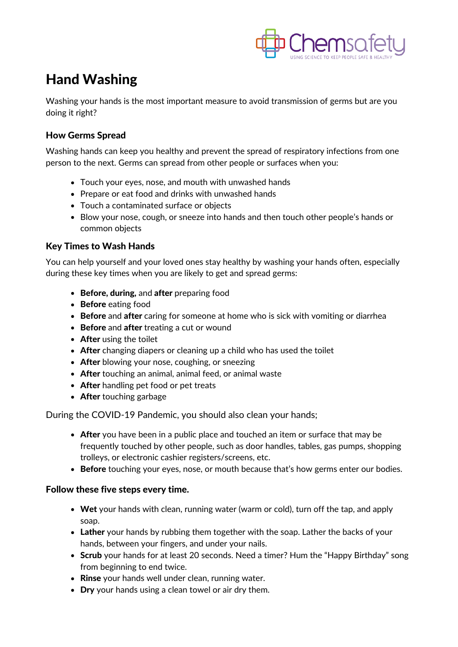

## Hand Washing

Washing your hands is the most important measure to avoid transmission of germs but are you doing it right?

## How Germs Spread

Washing hands can keep you healthy and prevent the spread of respiratory infections from one person to the next. Germs can spread from other people or surfaces when you:

- Touch your eyes, nose, and mouth with unwashed hands
- Prepare or eat food and drinks with unwashed hands
- Touch a contaminated surface or objects
- Blow your nose, cough, or sneeze into hands and then touch other people's hands or common objects

## Key Times to Wash Hands

You can help yourself and your loved ones stay healthy by washing your hands often, especially during these key times when you are likely to get and spread germs:

- Before, during, and after preparing food
- Before eating food
- **Before** and **after** caring for someone at home who is sick with vomiting or diarrhea
- Before and after treating a cut or wound
- After using the toilet
- After changing diapers or cleaning up a child who has used the toilet
- After blowing your nose, coughing, or sneezing
- After touching an animal, animal feed, or animal waste
- After handling pet food or pet treats
- After touching garbage

During the COVID-19 Pandemic, you should also clean your hands;

- After you have been in a public place and touched an item or surface that may be frequently touched by other people, such as door handles, tables, gas pumps, shopping trolleys, or electronic cashier registers/screens, etc.
- **Before** touching your eyes, nose, or mouth because that's how germs enter our bodies.

## Follow these five steps every time.

- Wet your hands with clean, running water (warm or cold), turn off the tap, and apply soap.
- Lather your hands by rubbing them together with the soap. Lather the backs of your hands, between your fingers, and under your nails.
- Scrub your hands for at least 20 seconds. Need a timer? Hum the "Happy Birthday" song from beginning to end twice.
- Rinse your hands well under clean, running water.
- Dry your hands using a clean towel or air dry them.